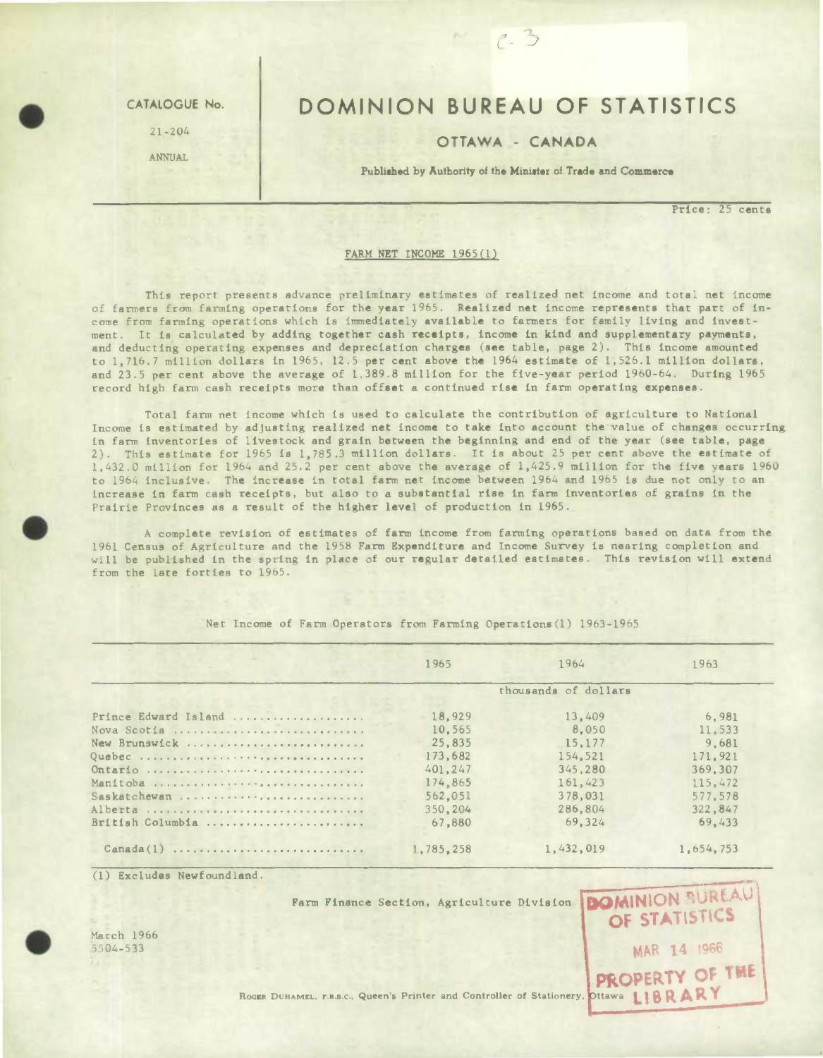21-204

ANNUAL

## CATALOGUE No. | DOMINION BUREAU OF STATISTICS

## OTTAWA - CANADA

Published by Authority of the Minister of Trade and Commerce

**Price:** 25 cents

OF STATISTICS

MAR 14 1966

## FARM NET INCOME 1965(1)

This report presents advance preliminary estimates of realized net income and total net income of farmers from farming operations for the year 1965. Realized net income represents that part of income from farming operations which is immediately available to farmers for family living and investment. It is calculated by adding together cash receipts, income in kind and supplementary payments, and deducting operating expenses and depreciation charges (see table, page 2). This income amounted to 1,716.7 million dollars in 1965, 12.5 per cent above the 1964 estimate of 1,526.1 million dollars, and 23.5 per cent above the average of 1,389.8 million for the five-year period 1960-64. During 1965 record high farm cash receipts more than offset a continued rise in farm operating expenses.

Total farm net income which is used to calculate the contribution of agriculture to National Income is estimated by adjusting realized net income to take into account thevalue of changes occurring in farm inventories of livestock and grain between the beginning and end of the year (see table, page 2). This estimate for 1965 is 1,785.3 million dollars. It is about 25 per cent above the estimate of 1,432.0 million for 1964 and 25.2 per cent above the average of 1,425.9 million for the five years 1960 to 1964 inclusive. The increase in total farm net income between 1964 and 1965 is due not only to an increase in farm cash receipts, but also to a substantial rise in farm inventories of grains in the Prairie Provinces as a result of the higher level of production in 1965.

A complete revision of estimates of farm income from farming operations based on data from the 1961 Census of Agriculture and the 1958 Farm Expenditure and Income Survey is nearing completion and will be published in the spring in place of our regular detailed estimates. This revision will extend from the late forties to 1965.

|                      | 1965                 | 1964      | 1963      |  |  |  |  |
|----------------------|----------------------|-----------|-----------|--|--|--|--|
|                      | thousands of dollars |           |           |  |  |  |  |
| Prince Edward Island | 18,929               | 13,409    | 6.981     |  |  |  |  |
| Nova Scotia          | 10.565               | 8,050     | 11,533    |  |  |  |  |
| New Brunswick        | 25,835               | 15,177    | 9.681     |  |  |  |  |
| Quebec               | 173,682              | 154,521   | 171.921   |  |  |  |  |
| Ontario              | 401,247              | 345,280   | 369, 307  |  |  |  |  |
| Manitoba             | 174,865              | 161,423   | 115.472   |  |  |  |  |
| Saskatchewan         | 562.051              | 378,031   | 577.578   |  |  |  |  |
| Alberta              | 350,204              | 286,804   | 322,847   |  |  |  |  |
| British Columbia     | 67,880               | 69.324    | 69.433    |  |  |  |  |
| Canada(1)            | 1,785,258            | 1,432,019 | 1,654,753 |  |  |  |  |

Net Income of Farm Operators from Farming Operations(l) 1963-1965

(1) Excludes Newfoundland.

Farm Finance Section, Agriculture Division **BOMINION** BUREAU



March 1966<br>5504-533